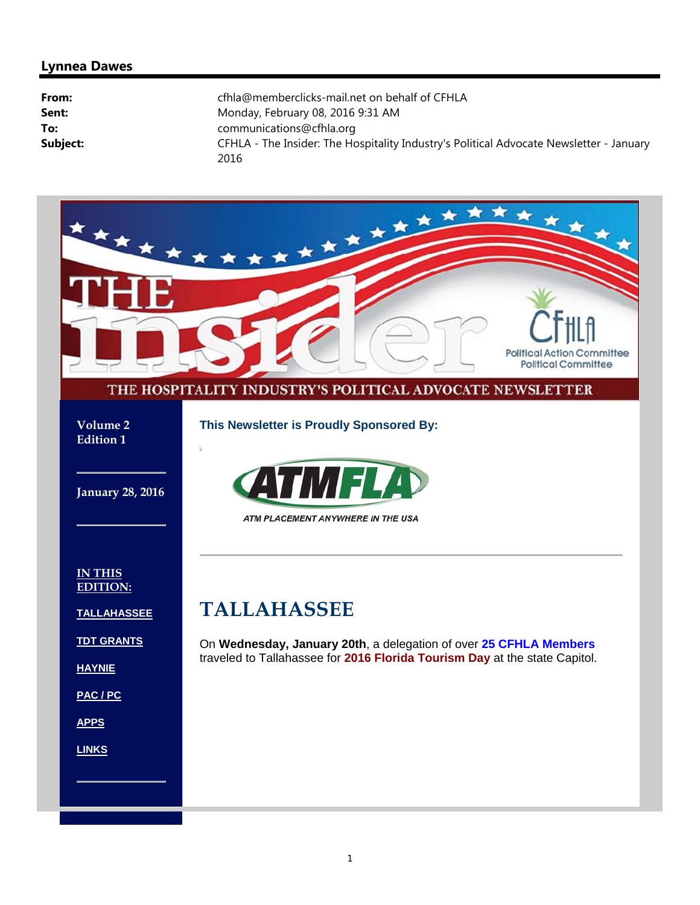### **Lynnea Dawes**

| From:    | cfhla@memberclicks-mail.net on behalf of CFHLA                                                  |
|----------|-------------------------------------------------------------------------------------------------|
| Sent:    | Monday, February 08, 2016 9:31 AM                                                               |
| To:      | communications@cfhla.org                                                                        |
| Subject: | CFHLA - The Insider: The Hospitality Industry's Political Advocate Newsletter - January<br>2016 |

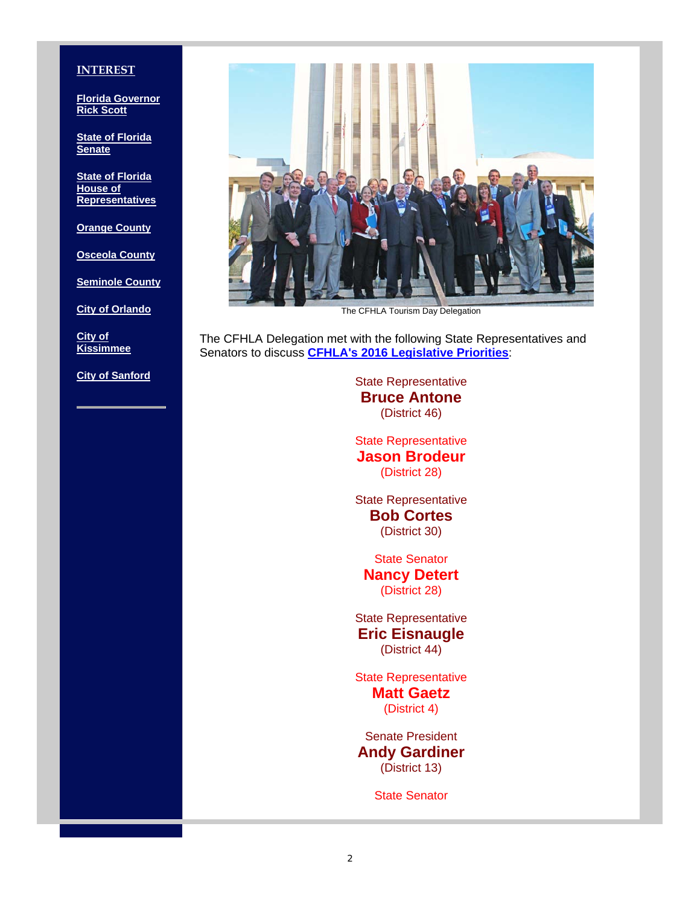#### **INTEREST**

**Florida Governor Rick Scott**

**State of Florida Senate**

**State of Florida House of Representatives**

**Orange County**

**Osceola County**

**Seminole County**

**City of Orlando**

**City of Kissimmee**

**City of Sanford**



The CFHLA Tourism Day Delegation

The CFHLA Delegation met with the following State Representatives and Senators to discuss **CFHLA's 2016 Legislative Priorities**:

> State Representative **Bruce Antone** (District 46)

> State Representative **Jason Brodeur** (District 28)

> State Representative **Bob Cortes** (District 30)

State Senator **Nancy Detert** (District 28)

State Representative **Eric Eisnaugle** (District 44)

State Representative **Matt Gaetz** (District 4)

Senate President **Andy Gardiner** (District 13)

State Senator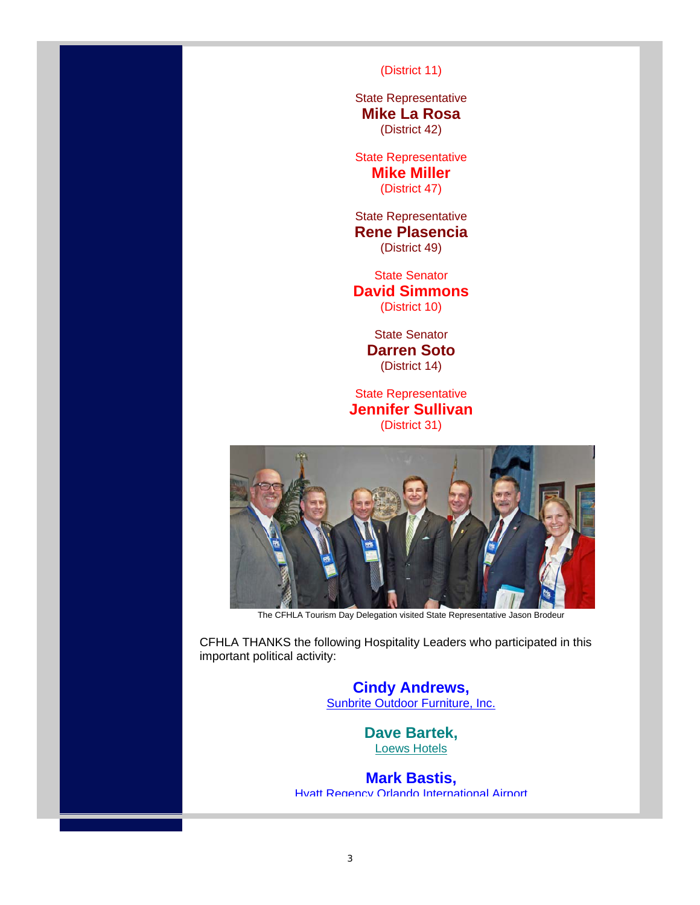(District 11)

State Representative **Mike La Rosa** (District 42)

State Representative **Mike Miller** (District 47)

State Representative **Rene Plasencia** (District 49)

State Senator **David Simmons** (District 10)

> State Senator **Darren Soto** (District 14)

State Representative **Jennifer Sullivan** (District 31)



The CFHLA Tourism Day Delegation visited State Representative Jason Brodeur

CFHLA THANKS the following Hospitality Leaders who participated in this important political activity:

> **Cindy Andrews,** Sunbrite Outdoor Furniture, Inc.

> > **Dave Bartek,** Loews Hotels

**Mark Bastis,**  Hyatt Regency Orlando International Airport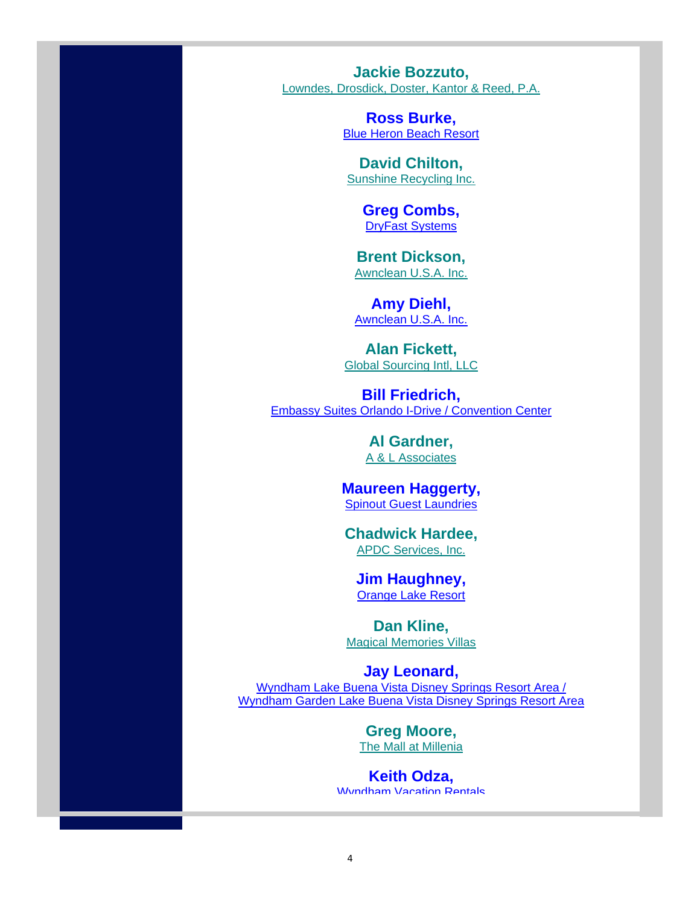**Jackie Bozzuto,**  Lowndes, Drosdick, Doster, Kantor & Reed, P.A.

> **Ross Burke, Blue Heron Beach Resort**

**David Chilton,**  Sunshine Recycling Inc.

> **Greg Combs,**  DryFast Systems

**Brent Dickson,**  Awnclean U.S.A. Inc.

**Amy Diehl,**  Awnclean U.S.A. Inc.

**Alan Fickett,**  Global Sourcing Intl, LLC

**Bill Friedrich,**  Embassy Suites Orlando I-Drive / Convention Center

> **Al Gardner,**  A & L Associates

**Maureen Haggerty,**  Spinout Guest Laundries

**Chadwick Hardee,**  APDC Services, Inc.

**Jim Haughney,**  Orange Lake Resort

**Dan Kline,**  Magical Memories Villas

**Jay Leonard,**  Wyndham Lake Buena Vista Disney Springs Resort Area / Wyndham Garden Lake Buena Vista Disney Springs Resort Area

> **Greg Moore,**  The Mall at Millenia

**Keith Odza,**  Wyndham Vacation Rentals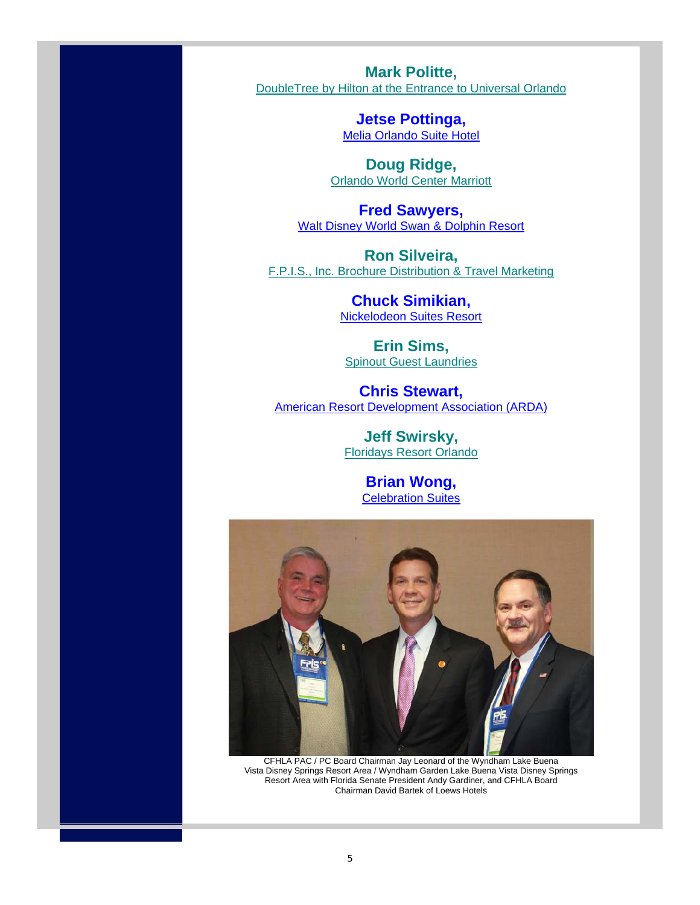**Mark Politte,**  DoubleTree by Hilton at the Entrance to Universal Orlando

> **Jetse Pottinga,**  Melia Orlando Suite Hotel

**Doug Ridge,**  Orlando World Center Marriott

**Fred Sawyers,**  Walt Disney World Swan & Dolphin Resort

**Ron Silveira,**  F.P.I.S., Inc. Brochure Distribution & Travel Marketing

> **Chuck Simikian,**  Nickelodeon Suites Resort

**Erin Sims,** Spinout Guest Laundries

**Chris Stewart,**  American Resort Development Association (ARDA)

> **Jeff Swirsky,**  Floridays Resort Orlando

> > **Brian Wong,**  Celebration Suites



CFHLA PAC / PC Board Chairman Jay Leonard of the Wyndham Lake Buena Vista Disney Springs Resort Area / Wyndham Garden Lake Buena Vista Disney Springs Resort Area with Florida Senate President Andy Gardiner, and CFHLA Board Chairman David Bartek of Loews Hotels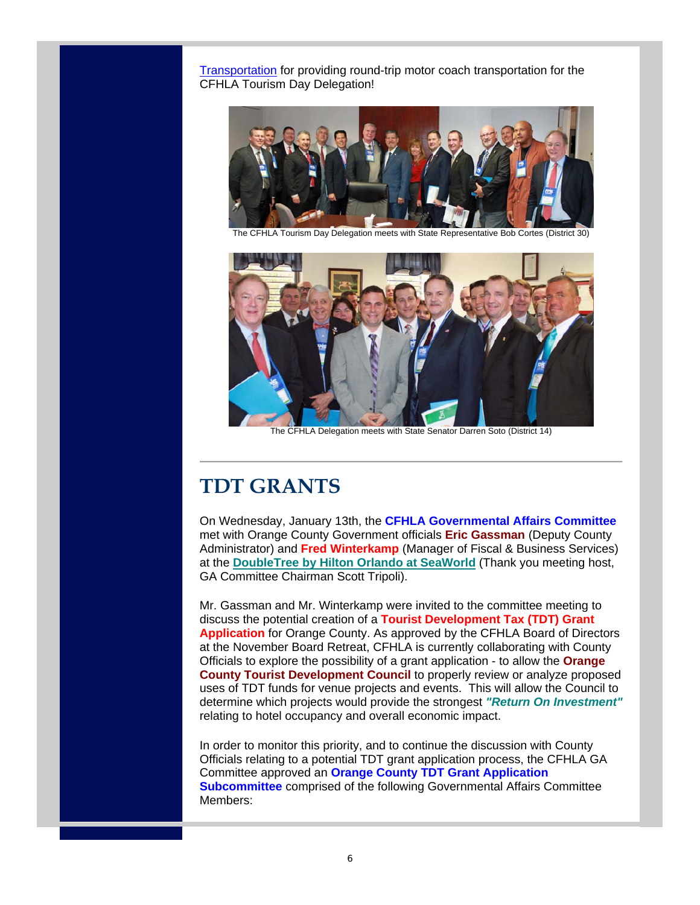Transportation for providing round-trip motor coach transportation for the CFHLA Tourism Day Delegation!



The CFHLA Tourism Day Delegation meets with State Representative Bob Cortes (District 30)



The CFHLA Delegation meets with State Senator Darren Soto (District 14)

# **TDT GRANTS**

On Wednesday, January 13th, the **CFHLA Governmental Affairs Committee** met with Orange County Government officials **Eric Gassman** (Deputy County Administrator) and **Fred Winterkamp** (Manager of Fiscal & Business Services) at the **DoubleTree by Hilton Orlando at SeaWorld** (Thank you meeting host, GA Committee Chairman Scott Tripoli).

Mr. Gassman and Mr. Winterkamp were invited to the committee meeting to discuss the potential creation of a **Tourist Development Tax (TDT) Grant Application** for Orange County. As approved by the CFHLA Board of Directors at the November Board Retreat, CFHLA is currently collaborating with County Officials to explore the possibility of a grant application - to allow the **Orange County Tourist Development Council** to properly review or analyze proposed uses of TDT funds for venue projects and events. This will allow the Council to determine which projects would provide the strongest *"Return On Investment"* relating to hotel occupancy and overall economic impact.

In order to monitor this priority, and to continue the discussion with County Officials relating to a potential TDT grant application process, the CFHLA GA Committee approved an **Orange County TDT Grant Application Subcommittee** comprised of the following Governmental Affairs Committee Members: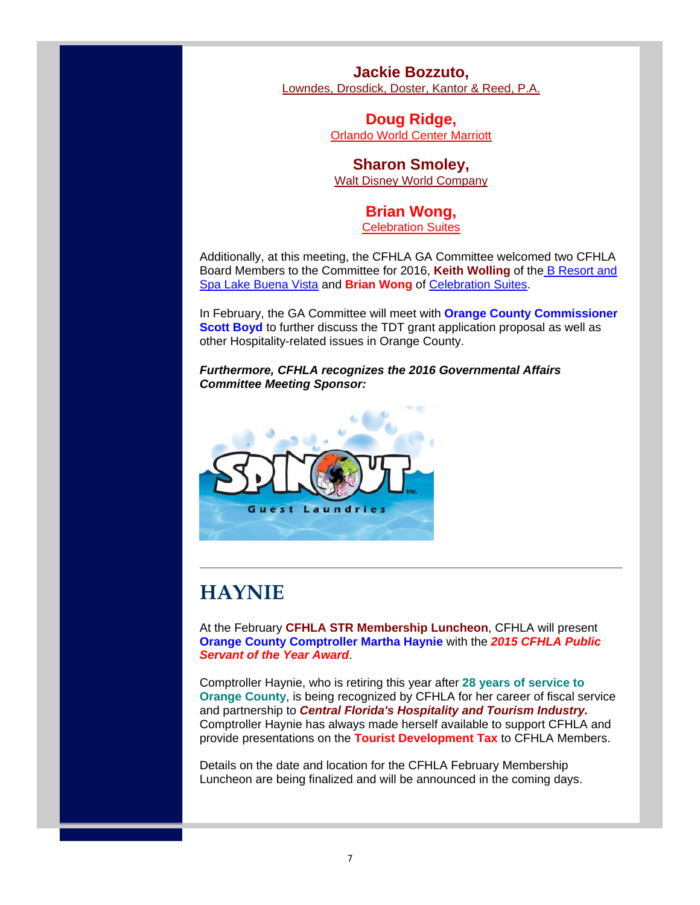**Jackie Bozzuto,** 

Lowndes, Drosdick, Doster, Kantor & Reed, P.A.

**Doug Ridge,** Orlando World Center Marriott

### **Sharon Smoley,** Walt Disney World Company

## **Brian Wong,**

Celebration Suites

Additionally, at this meeting, the CFHLA GA Committee welcomed two CFHLA Board Members to the Committee for 2016, **Keith Wolling** of the B Resort and Spa Lake Buena Vista and **Brian Wong** of Celebration Suites.

In February, the GA Committee will meet with **Orange County Commissioner Scott Boyd** to further discuss the TDT grant application proposal as well as other Hospitality-related issues in Orange County.

*Furthermore, CFHLA recognizes the 2016 Governmental Affairs Committee Meeting Sponsor:*



# **HAYNIE**

At the February **CFHLA STR Membership Luncheon**, CFHLA will present **Orange County Comptroller Martha Haynie** with the *2015 CFHLA Public Servant of the Year Award*.

Comptroller Haynie, who is retiring this year after **28 years of service to Orange County**, is being recognized by CFHLA for her career of fiscal service and partnership to *Central Florida's Hospitality and Tourism Industry.* Comptroller Haynie has always made herself available to support CFHLA and provide presentations on the **Tourist Development Tax** to CFHLA Members.

Details on the date and location for the CFHLA February Membership Luncheon are being finalized and will be announced in the coming days.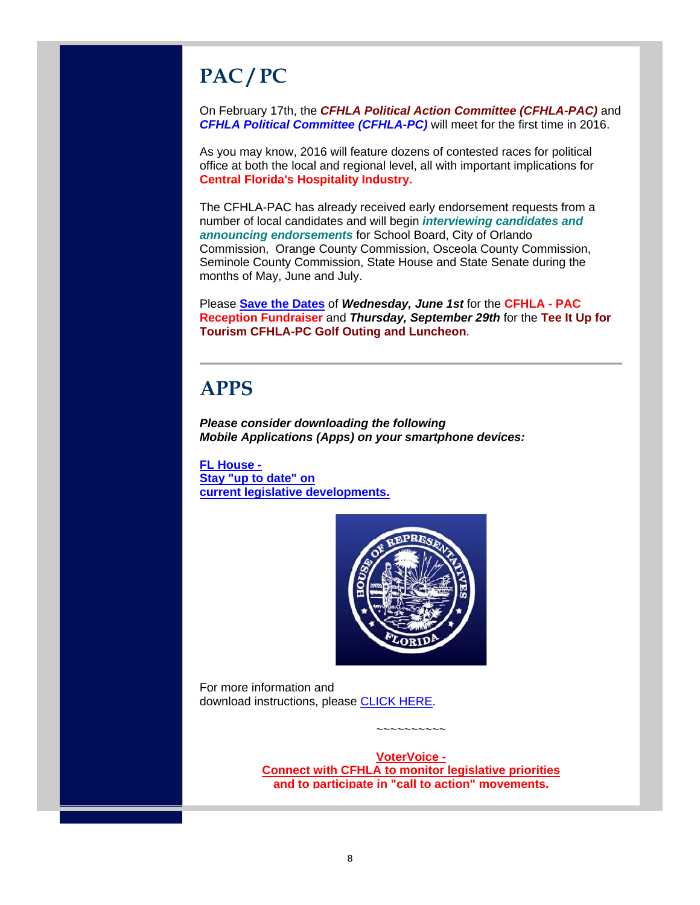# **PAC / PC**

On February 17th, the *CFHLA Political Action Committee (CFHLA-PAC)* and *CFHLA Political Committee (CFHLA-PC)* will meet for the first time in 2016.

As you may know, 2016 will feature dozens of contested races for political office at both the local and regional level, all with important implications for **Central Florida's Hospitality Industry.**

The CFHLA-PAC has already received early endorsement requests from a number of local candidates and will begin *interviewing candidates and announcing endorsements* for School Board, City of Orlando Commission, Orange County Commission, Osceola County Commission, Seminole County Commission, State House and State Senate during the months of May, June and July.

Please **Save the Dates** of *Wednesday, June 1st* for the **CFHLA - PAC Reception Fundraiser** and *Thursday, September 29th* for the **Tee It Up for Tourism CFHLA-PC Golf Outing and Luncheon**.

## **APPS**

*Please consider downloading the following Mobile Applications (Apps) on your smartphone devices:*

**FL House - Stay "up to date" on current legislative developments.**



For more information and download instructions, please CLICK HERE.

> **VoterVoice - Connect with CFHLA to monitor legislative priorities and to participate in "call to action" movements.**

~~~~~~~~~~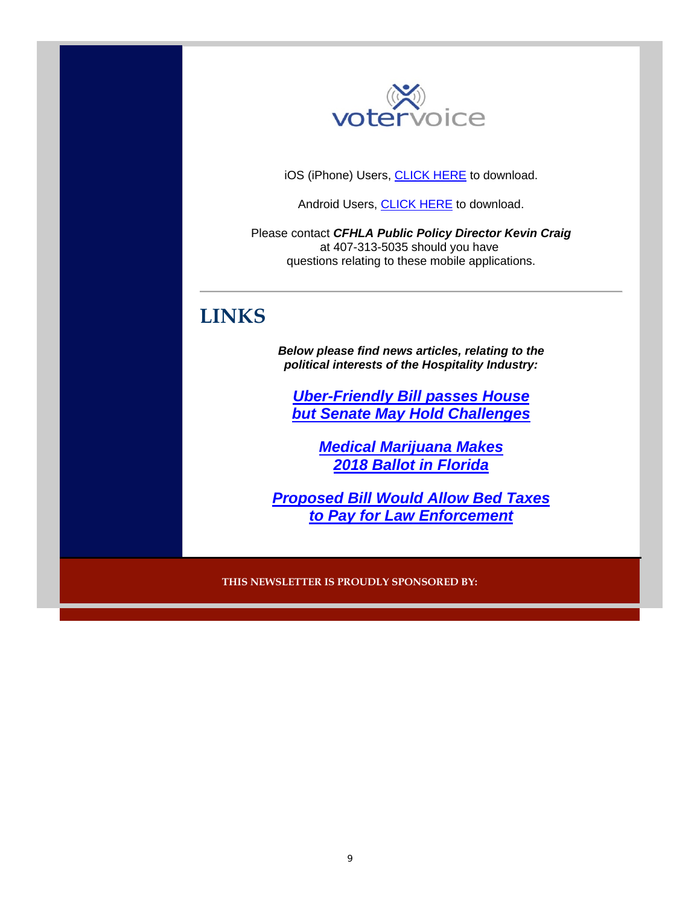

iOS (iPhone) Users, CLICK HERE to download.

Android Users, CLICK HERE to download.

Please contact *CFHLA Public Policy Director Kevin Craig* at 407-313-5035 should you have questions relating to these mobile applications.

# **LINKS**

*Below please find news articles, relating to the political interests of the Hospitality Industry:*

*Uber-Friendly Bill passes House but Senate May Hold Challenges*

> *Medical Marijuana Makes 2018 Ballot in Florida*

*Proposed Bill Would Allow Bed Taxes to Pay for Law Enforcement*

**THIS NEWSLETTER IS PROUDLY SPONSORED BY:**